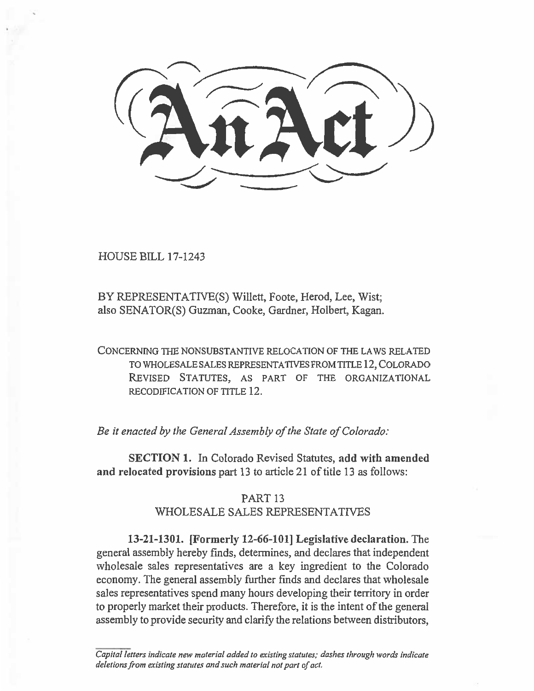**--:1, -;-/ nAtt))** 

HOUSE BILL 17-1243

BY REPRESENTATIVE(S) Willett, Foote, Herod, Lee, Wist; also SENATOR(S) Guzman, Cooke, Gardner, Holbert, Kagan.

CONCERNING THE NONSUBSTANTIVE RELOCATION OF THE LAWS RELATED TO WHOLESALE SALES REPRESENTATIVES FROM TITLE 12, COLORADO REVISED STATUTES, AS PART OF THE ORGANIZATIONAL RECODIFICATION OF TITLE 12.

*Be it enacted by the General Assembly of the State of Colorado:* 

**SECTION 1.** In Colorado Revised Statutes, **add with amended and relocated provisions part 13 to article** 21 of title 13 as follows:

## PART 13 WHOLESALE SALES REPRESENTATIVES

**13-21-1301. [Formerly 12-66-101] Legislative declaration.** The general assembly hereby finds, determines, and declares that independent wholesale sales representatives are a key ingredient to the Colorado economy. The general assembly further finds and declares that wholesale sales representatives spend many hours developing their territory in order to properly market their products. Therefore, it is the intent of the general assembly to provide security and clarify the relations between distributors,

*Capital letters indicate new material added to existing statutes; dashes through words indicate deletions from existing statutes and such material not part of act.*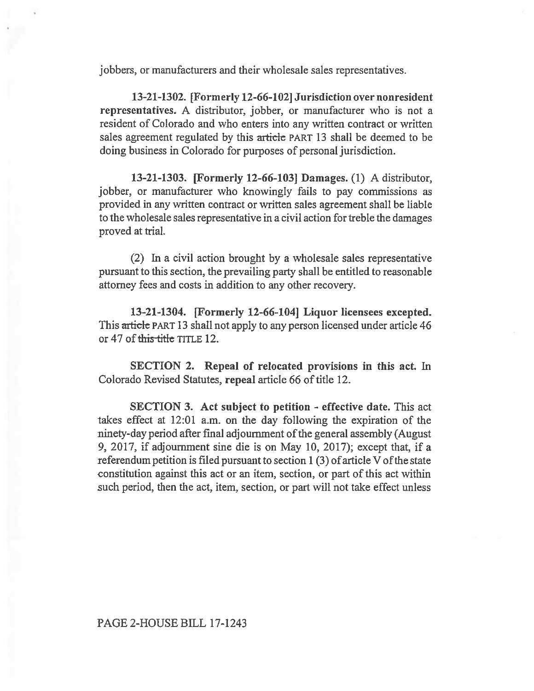jobbers, or manufacturers and their wholesale sales representatives.

**13-21-1302. [Formerly 12-66-102] Jurisdiction over nonresident representatives.** A distributor, jobber, or manufacturer who is not a resident of Colorado and who enters into any written contract or written sales agreement regulated by this article PART 13 shall be deemed to be doing business in Colorado for purposes of personal jurisdiction.

**13-21-1303. [Formerly 12-66-103] Damages. (1)** A distributor, jobber, or manufacturer who knowingly fails to pay commissions as provided in any written contract or written sales agreement shall be liable to the wholesale sales representative in a **civil** action for treble the damages proved at trial.

(2) In a civil action brought by a **wholesale** sales representative pursuant to this section, the prevailing party shall be entitled to reasonable attorney fees and costs in addition to **any** other recovery.

**13-21-1304. [Formerly 12-66-104] Liquor licensees excepted.**  This article PART 13 shall not apply to any person licensed under article 46 or 47 of this title TITLE 12.

**SECTION 2. Repeal of relocated provisions in this act.** In Colorado Revised Statutes, **repeal article 66** of title 12.

**SECTION 3. Act subject to petition - effective date.** This act takes effect at 12:01 a.m. on the day following the expiration of the ninety-day period after final adjournment of the general assembly (August 9, 2017, if adjournment sine die is on May **10,** 2017); except that, **if a**  referendum petition is filed pursuant to section 1 (3) of article V of the state constitution against this act or an item, section, or part of this act within such period, then the act, item, section, or part will not take effect unless